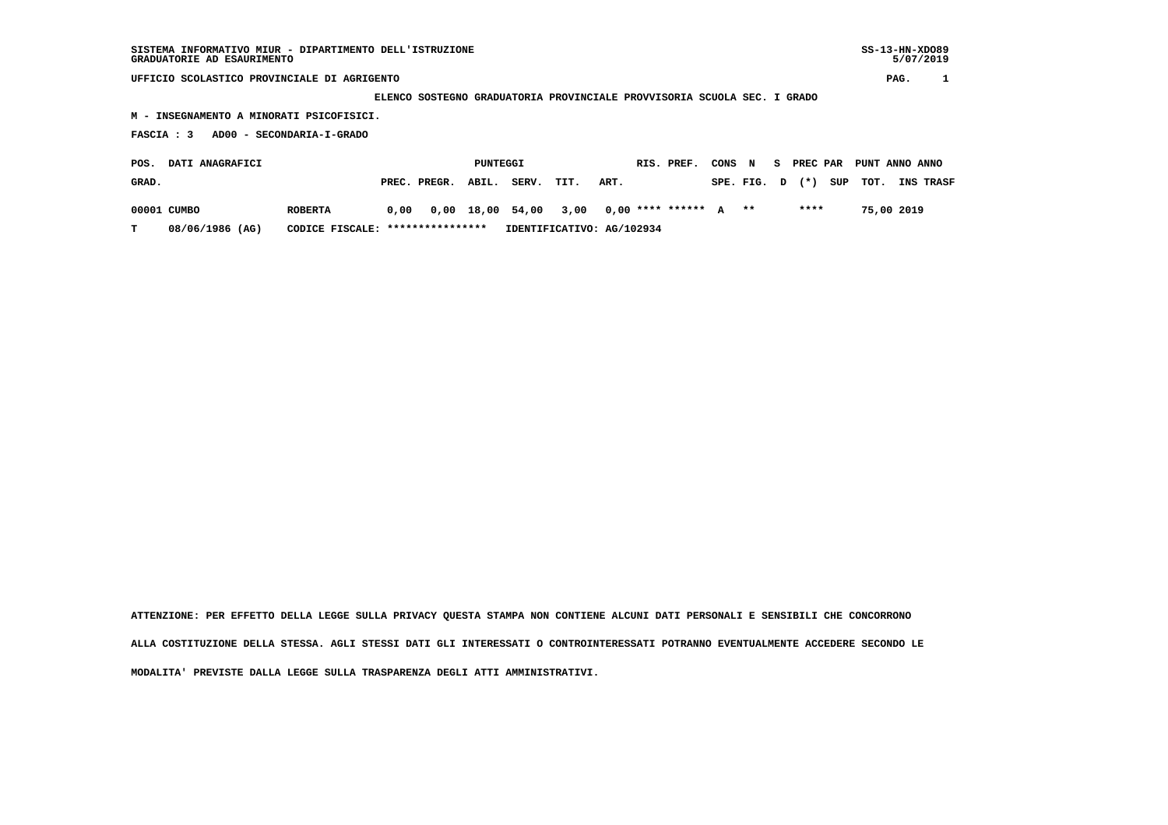**UFFICIO SCOLASTICO PROVINCIALE DI AGRIGENTO PAG. 1**

 **ELENCO SOSTEGNO GRADUATORIA PROVINCIALE PROVVISORIA SCUOLA SEC. I GRADO**

 **M - INSEGNAMENTO A MINORATI PSICOFISICI.**

 **FASCIA : 3 AD00 - SECONDARIA-I-GRADO**

| <b>DATI ANAGRAFICI</b><br>POS. |                 |                |                                  |                                                              | PUNTEGGI |                           |      |      | RIS. PREF. |  | CONS N S PREC PAR PUNT ANNO ANNO |      |  |            |                                    |
|--------------------------------|-----------------|----------------|----------------------------------|--------------------------------------------------------------|----------|---------------------------|------|------|------------|--|----------------------------------|------|--|------------|------------------------------------|
| GRAD.                          |                 |                |                                  | PREC. PREGR. ABIL.                                           |          | SERV.                     | TIT. | ART. |            |  |                                  |      |  |            | SPE. FIG. D (*) SUP TOT. INS TRASF |
|                                | 00001 CUMBO     | <b>ROBERTA</b> |                                  | $0,00$ $0,00$ $18,00$ $54,00$ $3,00$ $0,00$ **** ****** A ** |          |                           |      |      |            |  |                                  | **** |  | 75,00 2019 |                                    |
|                                | 08/06/1986 (AG) |                | CODICE FISCALE: **************** |                                                              |          | IDENTIFICATIVO: AG/102934 |      |      |            |  |                                  |      |  |            |                                    |

 **ATTENZIONE: PER EFFETTO DELLA LEGGE SULLA PRIVACY QUESTA STAMPA NON CONTIENE ALCUNI DATI PERSONALI E SENSIBILI CHE CONCORRONO ALLA COSTITUZIONE DELLA STESSA. AGLI STESSI DATI GLI INTERESSATI O CONTROINTERESSATI POTRANNO EVENTUALMENTE ACCEDERE SECONDO LE MODALITA' PREVISTE DALLA LEGGE SULLA TRASPARENZA DEGLI ATTI AMMINISTRATIVI.**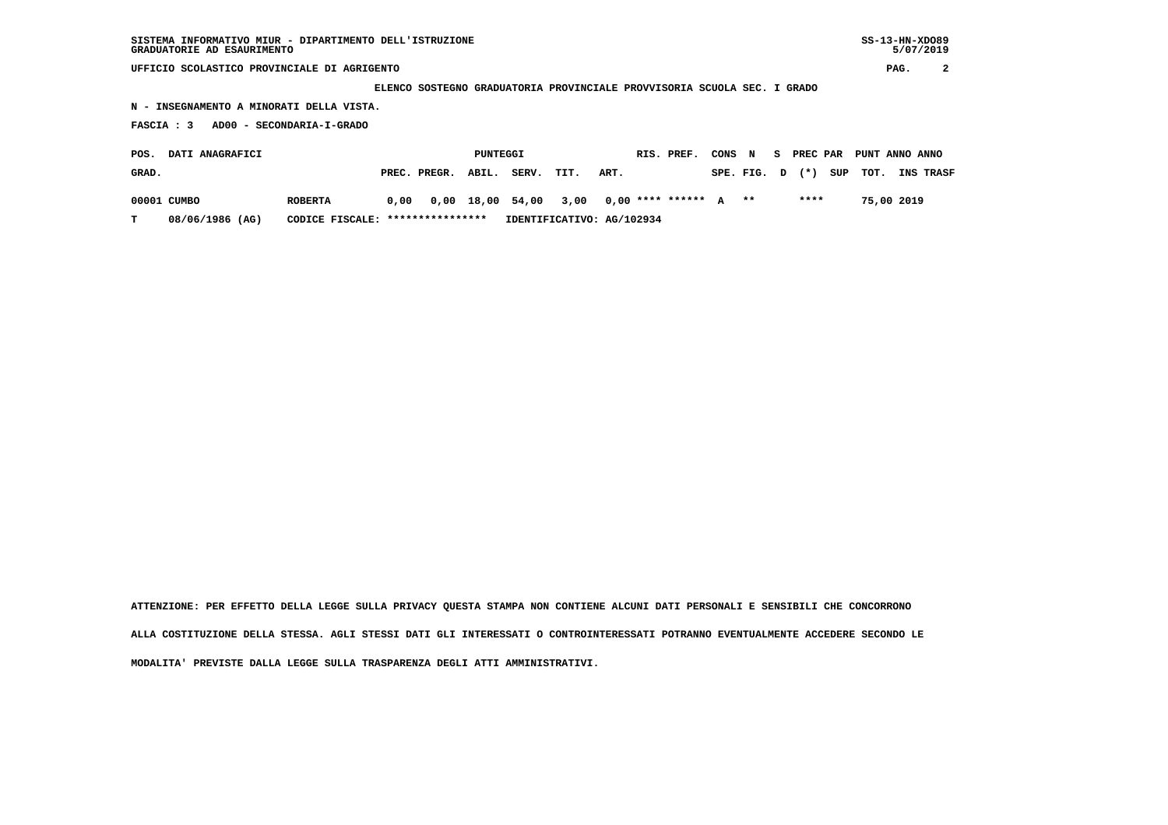**SISTEMA INFORMATIVO MIUR - DIPARTIMENTO DELL'ISTRUZIONE SS-13-HN-XDO89 GRADUATORIE AD ESAURIMENTO 5/07/2019**

 **UFFICIO SCOLASTICO PROVINCIALE DI AGRIGENTO PAG. 2**

 **ELENCO SOSTEGNO GRADUATORIA PROVINCIALE PROVVISORIA SCUOLA SEC. I GRADO**

 **N - INSEGNAMENTO A MINORATI DELLA VISTA.**

 **FASCIA : 3 AD00 - SECONDARIA-I-GRADO**

| POS.  | <b>DATI ANAGRAFICI</b> |                                  |                    | PUNTEGGI |                                                                   |                           |      | RIS. PREF. | CONS N |  |      | S PREC PAR PUNT ANNO ANNO |            |                                    |
|-------|------------------------|----------------------------------|--------------------|----------|-------------------------------------------------------------------|---------------------------|------|------------|--------|--|------|---------------------------|------------|------------------------------------|
| GRAD. |                        |                                  | PREC. PREGR. ABIL. |          | SERV. TIT.                                                        |                           | ART. |            |        |  |      |                           |            | SPE. FIG. D (*) SUP TOT. INS TRASF |
|       | 00001 CUMBO            | <b>ROBERTA</b>                   |                    |          | $0.00$ $0.00$ $18.00$ $54.00$ $3.00$ $0.00$ $***$ **** ***** A ** |                           |      |            |        |  | **** |                           | 75,00 2019 |                                    |
| T.    | 08/06/1986 (AG)        | CODICE FISCALE: **************** |                    |          |                                                                   | IDENTIFICATIVO: AG/102934 |      |            |        |  |      |                           |            |                                    |

 **ATTENZIONE: PER EFFETTO DELLA LEGGE SULLA PRIVACY QUESTA STAMPA NON CONTIENE ALCUNI DATI PERSONALI E SENSIBILI CHE CONCORRONO ALLA COSTITUZIONE DELLA STESSA. AGLI STESSI DATI GLI INTERESSATI O CONTROINTERESSATI POTRANNO EVENTUALMENTE ACCEDERE SECONDO LE MODALITA' PREVISTE DALLA LEGGE SULLA TRASPARENZA DEGLI ATTI AMMINISTRATIVI.**